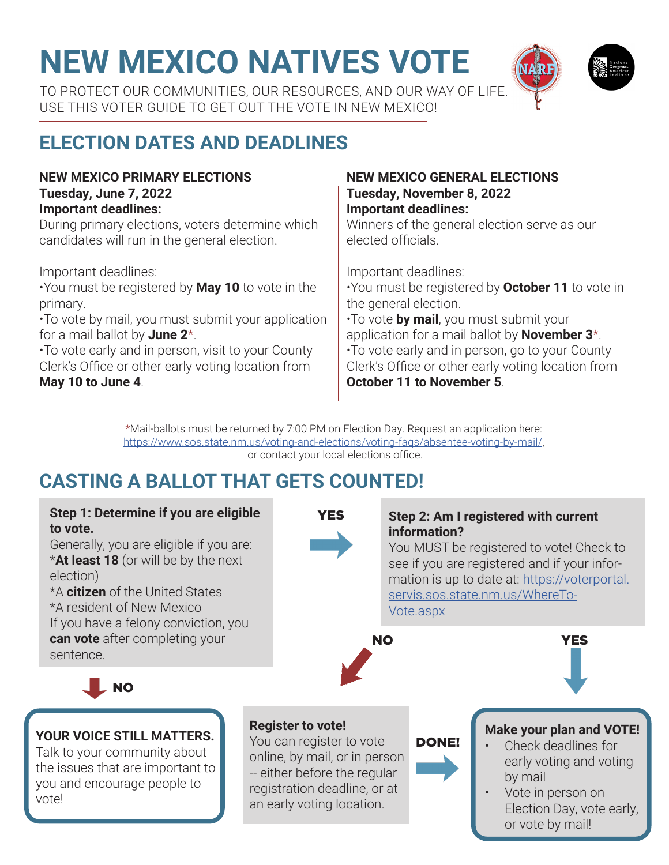# **NEW MEXICO NATIVES VOTE**

TO PROTECT OUR COMMUNITIES, OUR RESOURCES, AND OUR WAY OF LIFE. USE THIS VOTER GUIDE TO GET OUT THE VOTE IN NEW MEXICO!

## **ELECTION DATES AND DEADLINES**

#### **NEW MEXICO PRIMARY ELECTIONS Tuesday, June 7, 2022 Important deadlines:**

During primary elections, voters determine which candidates will run in the general election.

Important deadlines:

•You must be registered by **May 10** to vote in the primary.

•To vote by mail, you must submit your application for a mail ballot by **June 2**\*.

•To vote early and in person, visit to your County Clerk's Office or other early voting location from **May 10 to June 4**.

#### **NEW MEXICO GENERAL ELECTIONS Tuesday, November 8, 2022 Important deadlines:**

Winners of the general election serve as our elected officials.

Important deadlines:

•You must be registered by **October 11** to vote in the general election. •To vote **by mail**, you must submit your application for a mail ballot by **November 3**\*. •To vote early and in person, go to your County Clerk's Office or other early voting location from **October 11 to November 5**.

\*Mail-ballots must be returned by 7:00 PM on Election Day. Request an application here: https://www.sos.state.nm.us/voting-and-elections/voting-faqs/absentee-voting-by-mail/, or contact your local elections office.

### **CASTING A BALLOT THAT GETS COUNTED!**

#### **Step 1: Determine if you are eligible to vote.** Generally, you are eligible if you are: \***At least 18** (or will be by the next election) \*A **citizen** of the United States \*A resident of New Mexico If you have a felony conviction, you **can vote** after completing your sentence. **Step 2: Am I registered with current information?** You MUST be registered to vote! Check to see if you are registered and if your information is up to date at: https://voterportal. servis.sos.state.nm.us/WhereTo-Vote.aspx **Register to vote!** You can register to vote online, by mail, or in person -- either before the regular registration deadline, or at an early voting location. NO YES NO **YES YOUR VOICE STILL MATTERS.** Talk to your community about the issues that are important to you and encourage people to vote! **Make your plan and VOTE!** • Check deadlines for early voting and voting by mail Vote in person on Election Day, vote early, or vote by mail! DONE!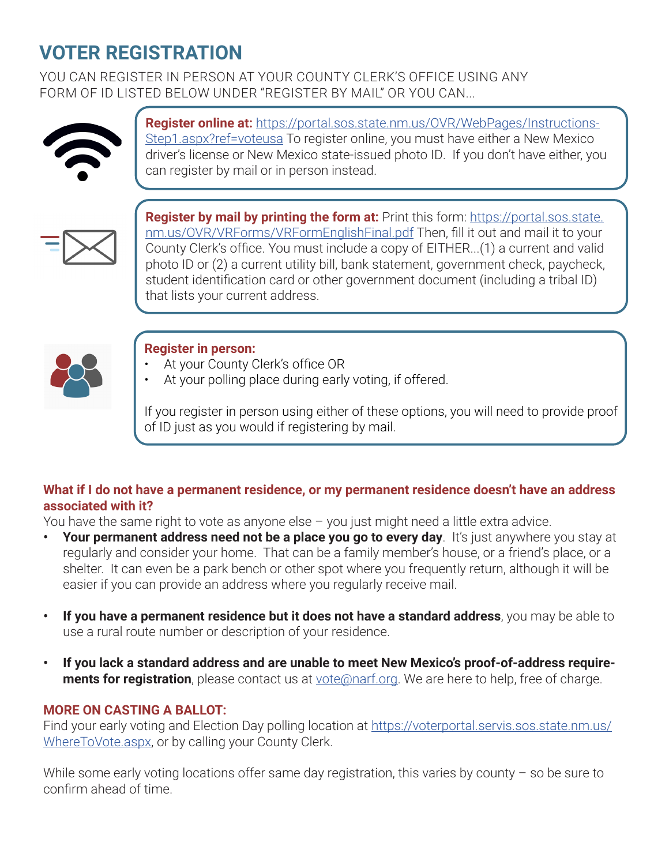### **VOTER REGISTRATION**

YOU CAN REGISTER IN PERSON AT YOUR COUNTY CLERK'S OFFICE USING ANY FORM OF ID LISTED BELOW UNDER "REGISTER BY MAIL" OR YOU CAN...



**Register online at:** https://portal.sos.state.nm.us/OVR/WebPages/Instructions-Step1.aspx?ref=voteusa To register online, you must have either a New Mexico driver's license or New Mexico state-issued photo ID. If you don't have either, you can register by mail or in person instead.



**Register by mail by printing the form at:** Print this form: https://portal.sos.state. nm.us/OVR/VRForms/VRFormEnglishFinal.pdf Then, fill it out and mail it to your County Clerk's office. You must include a copy of EITHER...(1) a current and valid photo ID or (2) a current utility bill, bank statement, government check, paycheck, student identification card or other government document (including a tribal ID) that lists your current address.



#### **Register in person:**

- At your County Clerk's office OR
- At your polling place during early voting, if offered.

If you register in person using either of these options, you will need to provide proof of ID just as you would if registering by mail.

#### **What if I do not have a permanent residence, or my permanent residence doesn't have an address associated with it?**

You have the same right to vote as anyone else  $-$  you just might need a little extra advice.

- Your permanent address need not be a place you go to every day. It's just anywhere you stay at regularly and consider your home. That can be a family member's house, or a friend's place, or a shelter. It can even be a park bench or other spot where you frequently return, although it will be easier if you can provide an address where you regularly receive mail.
- **• If you have a permanent residence but it does not have a standard address**, you may be able to use a rural route number or description of your residence.
- **• If you lack a standard address and are unable to meet New Mexico's proof-of-address requirements for registration**, please contact us at vote@narf.org. We are here to help, free of charge.

#### **MORE ON CASTING A BALLOT:**

Find your early voting and Election Day polling location at https://voterportal.servis.sos.state.nm.us/ WhereToVote.aspx, or by calling your County Clerk.

While some early voting locations offer same day registration, this varies by county - so be sure to confirm ahead of time.